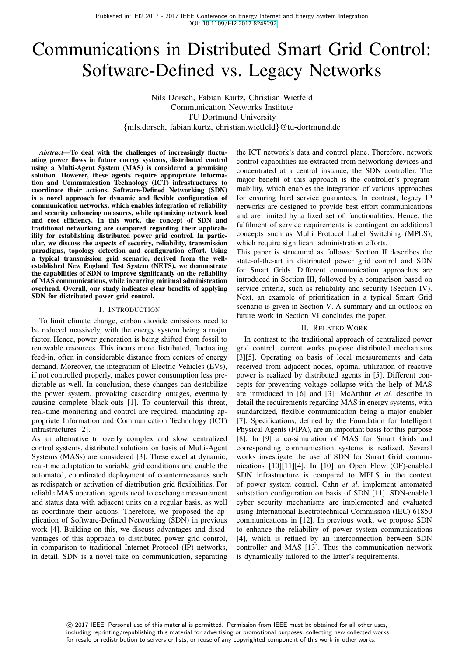# Communications in Distributed Smart Grid Control: Software-Defined vs. Legacy Networks

Nils Dorsch, Fabian Kurtz, Christian Wietfeld Communication Networks Institute TU Dortmund University {nils.dorsch, fabian.kurtz, christian.wietfeld}@tu-dortmund.de

*Abstract*—To deal with the challenges of increasingly fluctuating power flows in future energy systems, distributed control using a Multi-Agent System (MAS) is considered a promising solution. However, these agents require appropriate Information and Communication Technology (ICT) infrastructures to coordinate their actions. Software-Defined Networking (SDN) is a novel approach for dynamic and flexible configuration of communication networks, which enables integration of reliability and security enhancing measures, while optimizing network load and cost efficiency. In this work, the concept of SDN and traditional networking are compared regarding their applicability for establishing distributed power grid control. In particular, we discuss the aspects of security, reliability, transmission paradigms, topology detection and configuration effort. Using a typical transmission grid scenario, derived from the wellestablished New England Test System (NETS), we demonstrate the capabilities of SDN to improve significantly on the reliability of MAS communications, while incurring minimal administration overhead. Overall, our study indicates clear benefits of applying SDN for distributed power grid control.

#### I. INTRODUCTION

To limit climate change, carbon dioxide emissions need to be reduced massively, with the energy system being a major factor. Hence, power generation is being shifted from fossil to renewable resources. This incurs more distributed, fluctuating feed-in, often in considerable distance from centers of energy demand. Moreover, the integration of Electric Vehicles (EVs), if not controlled properly, makes power consumption less predictable as well. In conclusion, these changes can destabilize the power system, provoking cascading outages, eventually causing complete black-outs [1]. To countervail this threat, real-time monitoring and control are required, mandating appropriate Information and Communication Technology (ICT) infrastructures [2].

As an alternative to overly complex and slow, centralized control systems, distributed solutions on basis of Multi-Agent Systems (MASs) are considered [3]. These excel at dynamic, real-time adaptation to variable grid conditions and enable the automated, coordinated deployment of countermeasures such as redispatch or activation of distribution grid flexibilities. For reliable MAS operation, agents need to exchange measurement and status data with adjacent units on a regular basis, as well as coordinate their actions. Therefore, we proposed the application of Software-Defined Networking (SDN) in previous work [4]. Building on this, we discuss advantages and disadvantages of this approach to distributed power grid control, in comparison to traditional Internet Protocol (IP) networks, in detail. SDN is a novel take on communication, separating

the ICT network's data and control plane. Therefore, network control capabilities are extracted from networking devices and concentrated at a central instance, the SDN controller. The major benefit of this approach is the controller's programmability, which enables the integration of various approaches for ensuring hard service guarantees. In contrast, legacy IP networks are designed to provide best effort communications and are limited by a fixed set of functionalities. Hence, the fulfilment of service requirements is contingent on additional concepts such as Multi Protocol Label Switching (MPLS), which require significant administration efforts.

This paper is structured as follows: Section II describes the state-of-the-art in distributed power grid control and SDN for Smart Grids. Different communication approaches are introduced in Section III, followed by a comparison based on service criteria, such as reliability and security (Section IV). Next, an example of prioritization in a typical Smart Grid scenario is given in Section V. A summary and an outlook on future work in Section VI concludes the paper.

#### II. RELATED WORK

In contrast to the traditional approach of centralized power grid control, current works propose distributed mechanisms [3][5]. Operating on basis of local measurements and data received from adjacent nodes, optimal utilization of reactive power is realized by distributed agents in [5]. Different concepts for preventing voltage collapse with the help of MAS are introduced in [6] and [3]. McArthur *et al.* describe in detail the requirements regarding MAS in energy systems, with standardized, flexible communication being a major enabler [7]. Specifications, defined by the Foundation for Intelligent Physical Agents (FIPA), are an important basis for this purpose [8]. In [9] a co-simulation of MAS for Smart Grids and corresponding communication systems is realized. Several works investigate the use of SDN for Smart Grid communications [10][11][4]. In [10] an Open Flow (OF)-enabled SDN infrastructure is compared to MPLS in the context of power system control. Cahn *et al.* implement automated substation configuration on basis of SDN [11]. SDN-enabled cyber security mechanisms are implemented and evaluated using International Electrotechnical Commission (IEC) 61850 communications in [12]. In previous work, we propose SDN to enhance the reliability of power system communications [4], which is refined by an interconnection between SDN controller and MAS [13]. Thus the communication network is dynamically tailored to the latter's requirements.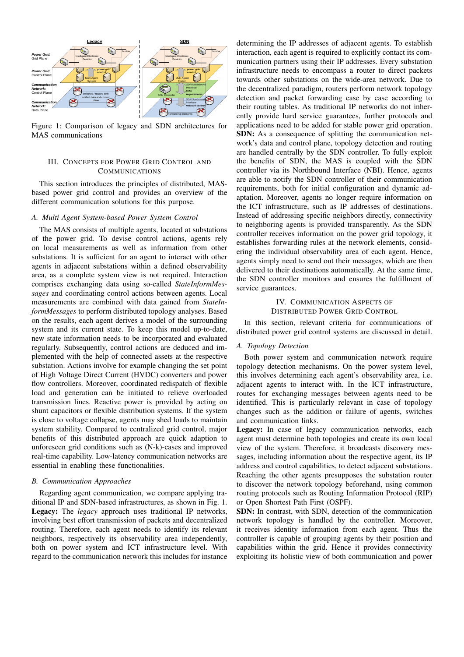

Figure 1: Comparison of legacy and SDN architectures for MAS communications

## III. CONCEPTS FOR POWER GRID CONTROL AND **COMMUNICATIONS**

This section introduces the principles of distributed, MASbased power grid control and provides an overview of the different communication solutions for this purpose.

# *A. Multi Agent System-based Power System Control*

The MAS consists of multiple agents, located at substations of the power grid. To devise control actions, agents rely on local measurements as well as information from other substations. It is sufficient for an agent to interact with other agents in adjacent substations within a defined observability area, as a complete system view is not required. Interaction comprises exchanging data using so-called *StateInformMessages* and coordinating control actions between agents. Local measurements are combined with data gained from *StateInformMessages* to perform distributed topology analyses. Based on the results, each agent derives a model of the surrounding system and its current state. To keep this model up-to-date, new state information needs to be incorporated and evaluated regularly. Subsequently, control actions are deduced and implemented with the help of connected assets at the respective substation. Actions involve for example changing the set point of High Voltage Direct Current (HVDC) converters and power flow controllers. Moreover, coordinated redispatch of flexible load and generation can be initiated to relieve overloaded transmission lines. Reactive power is provided by acting on shunt capacitors or flexible distribution systems. If the system is close to voltage collapse, agents may shed loads to maintain system stability. Compared to centralized grid control, major benefits of this distributed approach are quick adaption to unforeseen grid conditions such as (N-k)-cases and improved real-time capability. Low-latency communication networks are essential in enabling these functionalities.

## *B. Communication Approaches*

Regarding agent communication, we compare applying traditional IP and SDN-based infrastructures, as shown in Fig. 1. Legacy: The *legacy* approach uses traditional IP networks, involving best effort transmission of packets and decentralized routing. Therefore, each agent needs to identify its relevant neighbors, respectively its observability area independently, both on power system and ICT infrastructure level. With regard to the communication network this includes for instance

*SU CESS C* the decentralized paradigm, routers perform network topology determining the IP addresses of adjacent agents. To establish interaction, each agent is required to explicitly contact its communication partners using their IP addresses. Every substation infrastructure needs to encompass a router to direct packets towards other substations on the wide-area network. Due to detection and packet forwarding case by case according to their routing tables. As traditional IP networks do not inherently provide hard service guarantees, further protocols and applications need to be added for stable power grid operation. SDN: As a consequence of splitting the communication network's data and control plane, topology detection and routing are handled centrally by the SDN controller. To fully exploit the benefits of SDN, the MAS is coupled with the SDN controller via its Northbound Interface (NBI). Hence, agents are able to notify the SDN controller of their communication requirements, both for initial configuration and dynamic adaptation. Moreover, agents no longer require information on the ICT infrastructure, such as IP addresses of destinations. Instead of addressing specific neighbors directly, connectivity to neighboring agents is provided transparently. As the SDN controller receives information on the power grid topology, it establishes forwarding rules at the network elements, considering the individual observability area of each agent. Hence, agents simply need to send out their messages, which are then delivered to their destinations automatically. At the same time, the SDN controller monitors and ensures the fulfillment of service guarantees.

> IV. COMMUNICATION ASPECTS OF DISTRIBUTED POWER GRID CONTROL

In this section, relevant criteria for communications of distributed power grid control systems are discussed in detail.

## *A. Topology Detection*

Both power system and communication network require topology detection mechanisms. On the power system level, this involves determining each agent's observability area, i.e. adjacent agents to interact with. In the ICT infrastructure, routes for exchanging messages between agents need to be identified. This is particularly relevant in case of topology changes such as the addition or failure of agents, switches and communication links.

Legacy: In case of legacy communication networks, each agent must determine both topologies and create its own local view of the system. Therefore, it broadcasts discovery messages, including information about the respective agent, its IP address and control capabilities, to detect adjacent substations. Reaching the other agents presupposes the substation router to discover the network topology beforehand, using common routing protocols such as Routing Information Protocol (RIP) or Open Shortest Path First (OSPF).

SDN: In contrast, with SDN, detection of the communication network topology is handled by the controller. Moreover, it receives identity information from each agent. Thus the controller is capable of grouping agents by their position and capabilities within the grid. Hence it provides connectivity exploiting its holistic view of both communication and power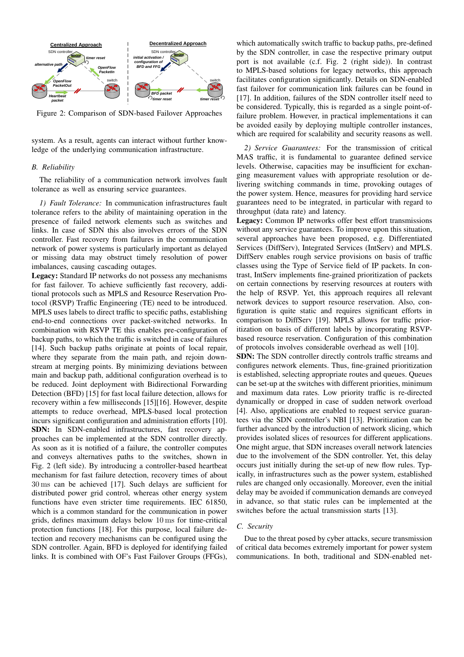

Figure 2: Comparison of SDN-based Failover Approaches

system. As a result, agents can interact without further knowledge of the underlying communication infrastructure.

## *B. Reliability*

The reliability of a communication network involves fault tolerance as well as ensuring service guarantees.

*1) Fault Tolerance:* In communication infrastructures fault tolerance refers to the ability of maintaining operation in the presence of failed network elements such as switches and links. In case of SDN this also involves errors of the SDN controller. Fast recovery from failures in the communication network of power systems is particularly important as delayed or missing data may obstruct timely resolution of power imbalances, causing cascading outages.

Legacy: Standard IP networks do not possess any mechanisms for fast failover. To achieve sufficiently fast recovery, additional protocols such as MPLS and Resource Reservation Protocol (RSVP) Traffic Engineering (TE) need to be introduced. MPLS uses labels to direct traffic to specific paths, establishing end-to-end connections over packet-switched networks. In combination with RSVP TE this enables pre-configuration of backup paths, to which the traffic is switched in case of failures [14]. Such backup paths originate at points of local repair, where they separate from the main path, and rejoin downstream at merging points. By minimizing deviations between main and backup path, additional configuration overhead is to be reduced. Joint deployment with Bidirectional Forwarding Detection (BFD) [15] for fast local failure detection, allows for recovery within a few milliseconds [15][16]. However, despite attempts to reduce overhead, MPLS-based local protection incurs significant configuration and administration efforts [10]. SDN: In SDN-enabled infrastructures, fast recovery approaches can be implemented at the SDN controller directly. As soon as it is notified of a failure, the controller computes and conveys alternatives paths to the switches, shown in Fig. 2 (left side). By introducing a controller-based heartbeat mechanism for fast failure detection, recovery times of about 30 ms can be achieved [17]. Such delays are sufficient for distributed power grid control, whereas other energy system functions have even stricter time requirements. IEC 61850, which is a common standard for the communication in power grids, defines maximum delays below 10 ms for time-critical protection functions [18]. For this purpose, local failure detection and recovery mechanisms can be configured using the SDN controller. Again, BFD is deployed for identifying failed links. It is combined with OF's Fast Failover Groups (FFGs),

**SUP** by the SDN controller, in case the respective primary output which automatically switch traffic to backup paths, pre-defined port is not available (c.f. Fig. 2 (right side)). In contrast to MPLS-based solutions for legacy networks, this approach facilitates configuration significantly. Details on SDN-enabled fast failover for communication link failures can be found in [17]. In addition, failures of the SDN controller itself need to be considered. Typically, this is regarded as a single point-offailure problem. However, in practical implementations it can be avoided easily by deploying multiple controller instances, which are required for scalability and security reasons as well.

> *2) Service Guarantees:* For the transmission of critical MAS traffic, it is fundamental to guarantee defined service levels. Otherwise, capacities may be insufficient for exchanging measurement values with appropriate resolution or delivering switching commands in time, provoking outages of the power system. Hence, measures for providing hard service guarantees need to be integrated, in particular with regard to throughput (data rate) and latency.

> Legacy: Common IP networks offer best effort transmissions without any service guarantees. To improve upon this situation, several approaches have been proposed, e.g. Differentiated Services (DiffServ), Integrated Services (IntServ) and MPLS. DiffServ enables rough service provisions on basis of traffic classes using the Type of Service field of IP packets. In contrast, IntServ implements fine-grained prioritization of packets on certain connections by reserving resources at routers with the help of RSVP. Yet, this approach requires all relevant network devices to support resource reservation. Also, configuration is quite static and requires significant efforts in comparison to DiffServ [19]. MPLS allows for traffic prioritization on basis of different labels by incorporating RSVPbased resource reservation. Configuration of this combination of protocols involves considerable overhead as well [10].

> SDN: The SDN controller directly controls traffic streams and configures network elements. Thus, fine-grained prioritization is established, selecting appropriate routes and queues. Queues can be set-up at the switches with different priorities, minimum and maximum data rates. Low priority traffic is re-directed dynamically or dropped in case of sudden network overload [4]. Also, applications are enabled to request service guarantees via the SDN controller's NBI [13]. Prioritization can be further advanced by the introduction of network slicing, which provides isolated slices of resources for different applications. One might argue, that SDN increases overall network latencies due to the involvement of the SDN controller. Yet, this delay occurs just initially during the set-up of new flow rules. Typically, in infrastructures such as the power system, established rules are changed only occasionally. Moreover, even the initial delay may be avoided if communication demands are conveyed in advance, so that static rules can be implemented at the switches before the actual transmission starts [13].

#### *C. Security*

Due to the threat posed by cyber attacks, secure transmission of critical data becomes extremely important for power system communications. In both, traditional and SDN-enabled net-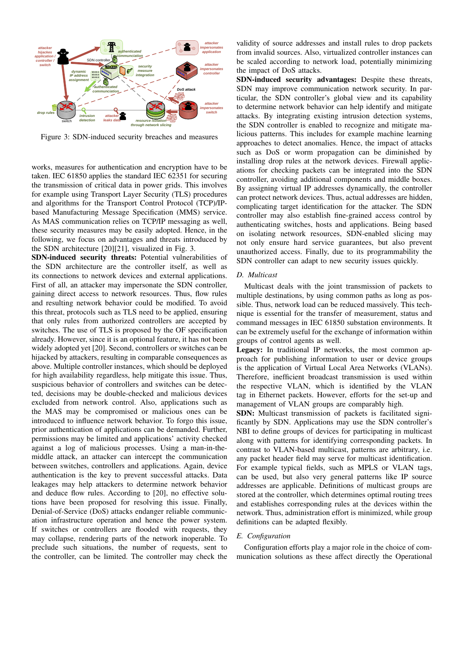

Figure 3: SDN-induced security breaches and measures

works, measures for authentication and encryption have to be taken. IEC 61850 applies the standard IEC 62351 for securing the transmission of critical data in power grids. This involves for example using Transport Layer Security (TLS) procedures and algorithms for the Transport Control Protocol (TCP)/IPbased Manufacturing Message Specification (MMS) service. As MAS communication relies on TCP/IP messaging as well, these security measures may be easily adopted. Hence, in the following, we focus on advantages and threats introduced by the SDN architecture [20][21], visualized in Fig. 3.

SDN-induced security threats: Potential vulnerabilities of the SDN architecture are the controller itself, as well as its connections to network devices and external applications. First of all, an attacker may impersonate the SDN controller, gaining direct access to network resources. Thus, flow rules and resulting network behavior could be modified. To avoid this threat, protocols such as TLS need to be applied, ensuring that only rules from authorized controllers are accepted by switches. The use of TLS is proposed by the OF specification already. However, since it is an optional feature, it has not been widely adopted yet [20]. Second, controllers or switches can be hijacked by attackers, resulting in comparable consequences as above. Multiple controller instances, which should be deployed for high availability regardless, help mitigate this issue. Thus, suspicious behavior of controllers and switches can be detected, decisions may be double-checked and malicious devices excluded from network control. Also, applications such as the MAS may be compromised or malicious ones can be introduced to influence network behavior. To forgo this issue, prior authentication of applications can be demanded. Further, permissions may be limited and applications' activity checked against a log of malicious processes. Using a man-in-themiddle attack, an attacker can intercept the communication between switches, controllers and applications. Again, device authentication is the key to prevent successful attacks. Data leakages may help attackers to determine network behavior and deduce flow rules. According to [20], no effective solutions have been proposed for resolving this issue. Finally, Denial-of-Service (DoS) attacks endanger reliable communication infrastructure operation and hence the power system. If switches or controllers are flooded with requests, they may collapse, rendering parts of the network inoperable. To preclude such situations, the number of requests, sent to the controller, can be limited. The controller may check the

validity of source addresses and install rules to drop packets from invalid sources. Also, virtualized controller instances can be scaled according to network load, potentially minimizing

SDN-induced security advantages: Despite these threats, SDN may improve communication network security. In particular, the SDN controller's global view and its capability to determine network behavior can help identify and mitigate attacks. By integrating existing intrusion detection systems, the SDN controller is enabled to recognize and mitigate malicious patterns. This includes for example machine learning approaches to detect anomalies. Hence, the impact of attacks such as DoS or worm propagation can be diminished by installing drop rules at the network devices. Firewall applications for checking packets can be integrated into the SDN controller, avoiding additional components and middle boxes. By assigning virtual IP addresses dynamically, the controller can protect network devices. Thus, actual addresses are hidden, complicating target identification for the attacker. The SDN controller may also establish fine-grained access control by authenticating switches, hosts and applications. Being based on isolating network resources, SDN-enabled slicing may not only ensure hard service guarantees, but also prevent unauthorized access. Finally, due to its programmability the SDN controller can adapt to new security issues quickly.

#### *D. Multicast*

Multicast deals with the joint transmission of packets to multiple destinations, by using common paths as long as possible. Thus, network load can be reduced massively. This technique is essential for the transfer of measurement, status and command messages in IEC 61850 substation environments. It can be extremely useful for the exchange of information within groups of control agents as well.

Legacy: In traditional IP networks, the most common approach for publishing information to user or device groups is the application of Virtual Local Area Networks (VLANs). Therefore, inefficient broadcast transmission is used within the respective VLAN, which is identified by the VLAN tag in Ethernet packets. However, efforts for the set-up and management of VLAN groups are comparably high.

SDN: Multicast transmission of packets is facilitated significantly by SDN. Applications may use the SDN controller's NBI to define groups of devices for participating in multicast along with patterns for identifying corresponding packets. In contrast to VLAN-based multicast, patterns are arbitrary, i.e. any packet header field may serve for multicast identification. For example typical fields, such as MPLS or VLAN tags, can be used, but also very general patterns like IP source addresses are applicable. Definitions of multicast groups are stored at the controller, which determines optimal routing trees and establishes corresponding rules at the devices within the network. Thus, administration effort is minimized, while group definitions can be adapted flexibly.

## *E. Configuration*

Configuration efforts play a major role in the choice of communication solutions as these affect directly the Operational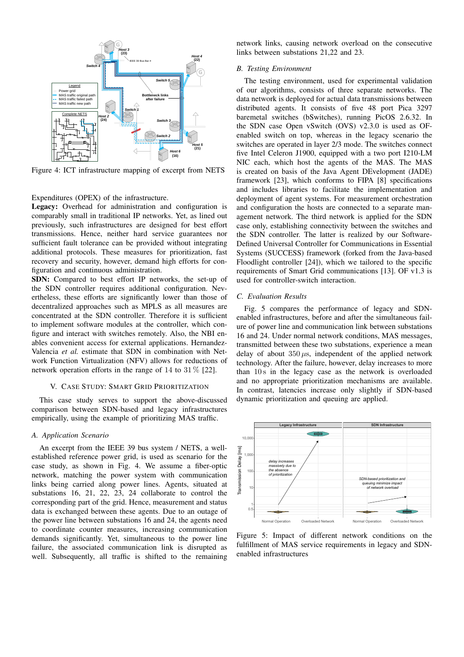

Figure 4: ICT infrastructure mapping of excerpt from NETS

Expenditures (OPEX) of the infrastructure.

Legacy: Overhead for administration and configuration is comparably small in traditional IP networks. Yet, as lined out previously, such infrastructures are designed for best effort transmissions. Hence, neither hard service guarantees nor sufficient fault tolerance can be provided without integrating additional protocols. These measures for prioritization, fast recovery and security, however, demand high efforts for configuration and continuous administration.

SDN: Compared to best effort IP networks, the set-up of the SDN controller requires additional configuration. Nevertheless, these efforts are significantly lower than those of decentralized approaches such as MPLS as all measures are concentrated at the SDN controller. Therefore it is sufficient to implement software modules at the controller, which configure and interact with switches remotely. Also, the NBI enables convenient access for external applications. Hernandez-Valencia *et al.* estimate that SDN in combination with Network Function Virtualization (NFV) allows for reductions of network operation efforts in the range of 14 to  $31\%$  [22].

#### V. CASE STUDY: SMART GRID PRIORITIZATION

This case study serves to support the above-discussed comparison between SDN-based and legacy infrastructures empirically, using the example of prioritizing MAS traffic.

## *A. Application Scenario*

An excerpt from the IEEE 39 bus system / NETS, a wellestablished reference power grid, is used as scenario for the case study, as shown in Fig. 4. We assume a fiber-optic network, matching the power system with communication links being carried along power lines. Agents, situated at substations 16, 21, 22, 23, 24 collaborate to control the corresponding part of the grid. Hence, measurement and status data is exchanged between these agents. Due to an outage of the power line between substations 16 and 24, the agents need to coordinate counter measures, increasing communication demands significantly. Yet, simultaneous to the power line failure, the associated communication link is disrupted as well. Subsequently, all traffic is shifted to the remaining

network links, causing network overload on the consecutive links between substations 21,22 and 23.

## *B. Testing Environment*

The testing environment, used for experimental validation of our algorithms, consists of three separate networks. The data network is deployed for actual data transmissions between distributed agents. It consists of five 48 port Pica 3297 baremetal switches (bSwitches), running PicOS 2.6.32. In the SDN case Open vSwitch (OVS) v2.3.0 is used as OFenabled switch on top, whereas in the legacy scenario the switches are operated in layer 2/3 mode. The switches connect five Intel Celeron J1900, equipped with a two port I210-LM NIC each, which host the agents of the MAS. The MAS is created on basis of the Java Agent DEvelopment (JADE) framework [23], which conforms to FIPA [8] specifications and includes libraries to facilitate the implementation and deployment of agent systems. For measurement orchestration and configuration the hosts are connected to a separate management network. The third network is applied for the SDN case only, establishing connectivity between the switches and the SDN controller. The latter is realized by our Software-Defined Universal Controller for Communications in Essential Systems (SUCCESS) framework (forked from the Java-based Floodlight controller [24]), which we tailored to the specific requirements of Smart Grid communications [13]. OF v1.3 is used for controller-switch interaction.

#### *C. Evaluation Results*

Fig. 5 compares the performance of legacy and SDNenabled infrastructures, before and after the simultaneous failure of power line and communication link between substations 16 and 24. Under normal network conditions, MAS messages, transmitted between these two substations, experience a mean delay of about  $350 \mu s$ , independent of the applied network technology. After the failure, however, delay increases to more than 10 s in the legacy case as the network is overloaded and no appropriate prioritization mechanisms are available. In contrast, latencies increase only slightly if SDN-based dynamic prioritization and queuing are applied.



Figure 5: Impact of different network conditions on the fulfillment of MAS service requirements in legacy and SDNenabled infrastructures